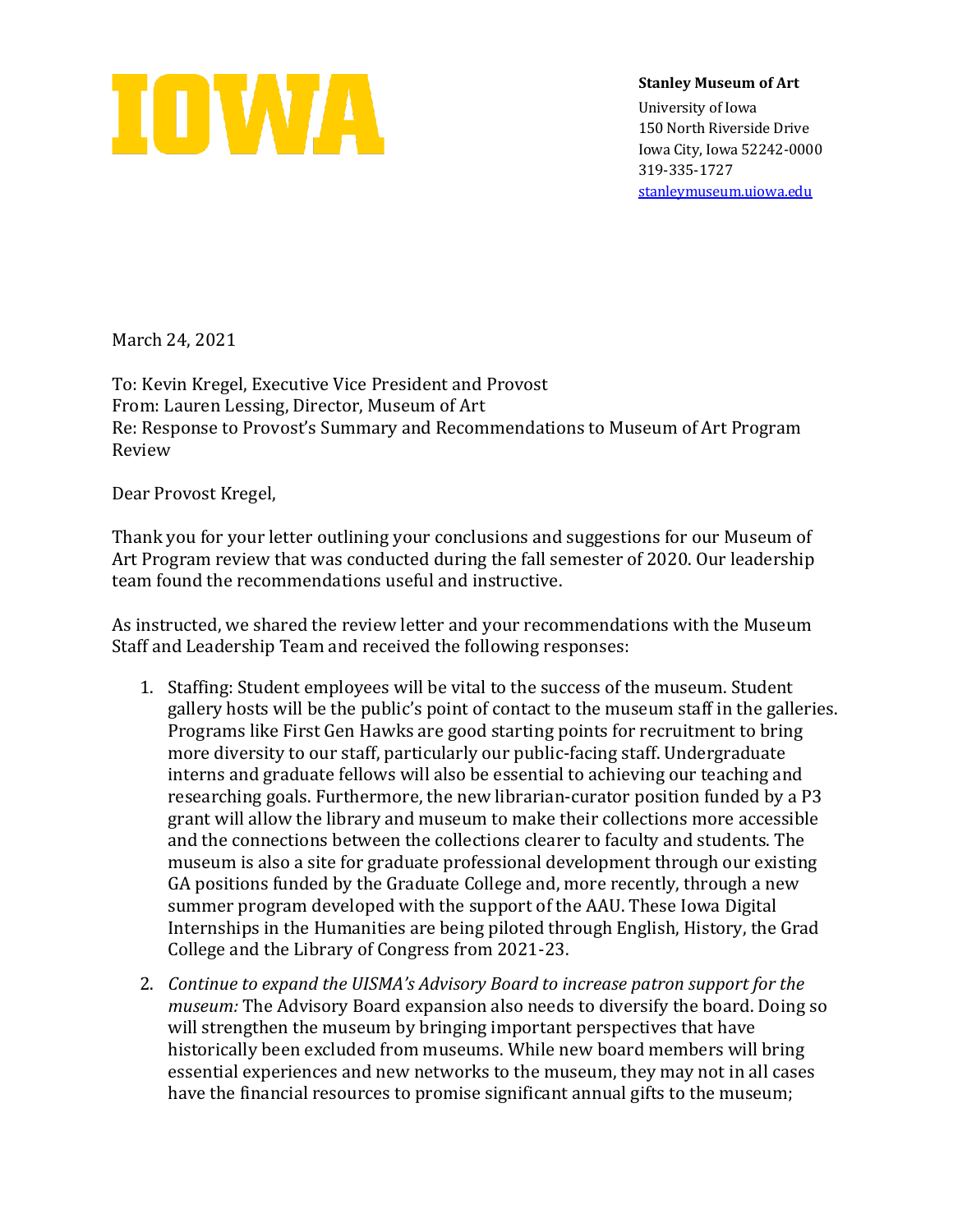

**Stanley Museum of Art**

University of Iowa 150 North Riverside Drive Iowa City, Iowa 52242-0000 319-335-1727 [stanleymuseum.uiowa.edu](http://stanleymuseum.uiowa.edu/)

March 24, 2021

To: Kevin Kregel, Executive Vice President and Provost From: Lauren Lessing, Director, Museum of Art Re: Response to Provost's Summary and Recommendations to Museum of Art Program Review

Dear Provost Kregel,

Thank you for your letter outlining your conclusions and suggestions for our Museum of Art Program review that was conducted during the fall semester of 2020. Our leadership team found the recommendations useful and instructive.

As instructed, we shared the review letter and your recommendations with the Museum Staff and Leadership Team and received the following responses:

- 1. Staffing: Student employees will be vital to the success of the museum. Student gallery hosts will be the public's point of contact to the museum staff in the galleries. Programs like First Gen Hawks are good starting points for recruitment to bring more diversity to our staff, particularly our public-facing staff. Undergraduate interns and graduate fellows will also be essential to achieving our teaching and researching goals. Furthermore, the new librarian-curator position funded by a P3 grant will allow the library and museum to make their collections more accessible and the connections between the collections clearer to faculty and students. The museum is also a site for graduate professional development through our existing GA positions funded by the Graduate College and, more recently, through a new summer program developed with the support of the AAU. These Iowa Digital Internships in the Humanities are being piloted through English, History, the Grad College and the Library of Congress from 2021-23.
- 2. *Continue to expand the UISMA's Advisory Board to increase patron support for the museum:* The Advisory Board expansion also needs to diversify the board. Doing so will strengthen the museum by bringing important perspectives that have historically been excluded from museums. While new board members will bring essential experiences and new networks to the museum, they may not in all cases have the financial resources to promise significant annual gifts to the museum;